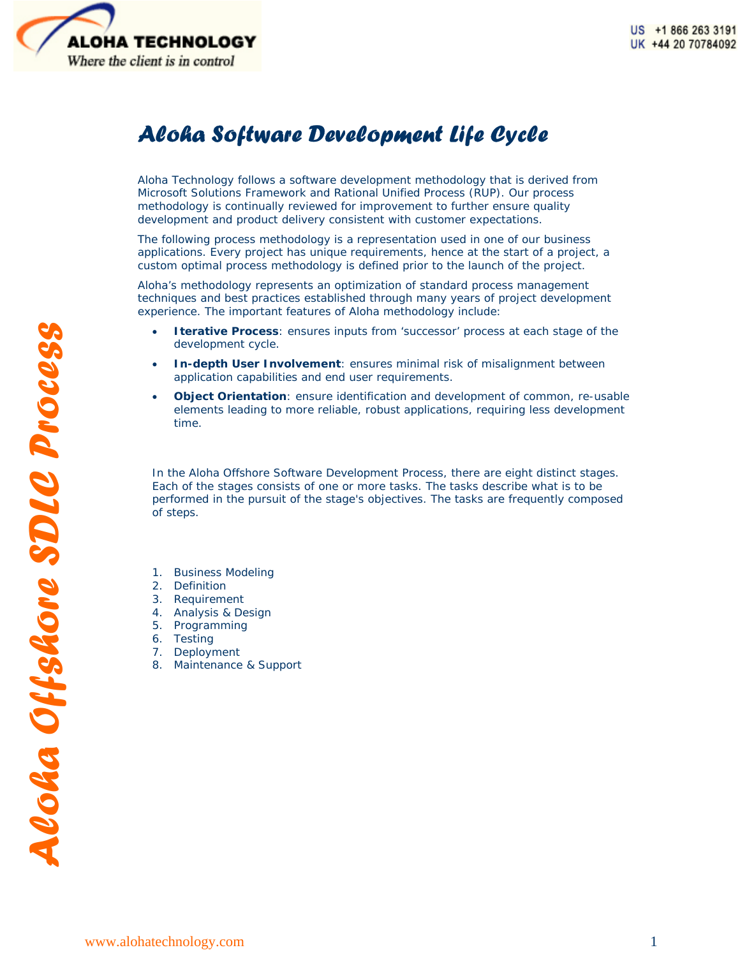

# *Aloha Software Development Life Cycle*

Aloha Technology follows a software development methodology that is derived from Microsoft Solutions Framework and Rational Unified Process (RUP). Our process methodology is continually reviewed for improvement to further ensure quality development and product delivery consistent with customer expectations.

The following process methodology is a representation used in one of our business applications. Every project has unique requirements, hence at the start of a project, a custom optimal process methodology is defined prior to the launch of the project.

Aloha's methodology represents an optimization of standard process management techniques and best practices established through many years of project development experience. The important features of Aloha methodology include:

- **Iterative Process**: ensures inputs from 'successor' process at each stage of the development cycle.
- **In-depth User Involvement**: ensures minimal risk of misalignment between application capabilities and end user requirements.
- **Object Orientation**: ensure identification and development of common, re-usable elements leading to more reliable, robust applications, requiring less development time.

In the Aloha Offshore Software Development Process, there are eight distinct stages. Each of the stages consists of one or more tasks. The tasks describe what is to be performed in the pursuit of the stage's objectives. The tasks are frequently composed of steps.

- 1. Business Modeling
- 2. Definition
- 3. Requirement
- 4. Analysis & Design
- 5. Programming
- 6. Testing
- 7. Deployment
- 8. Maintenance & Support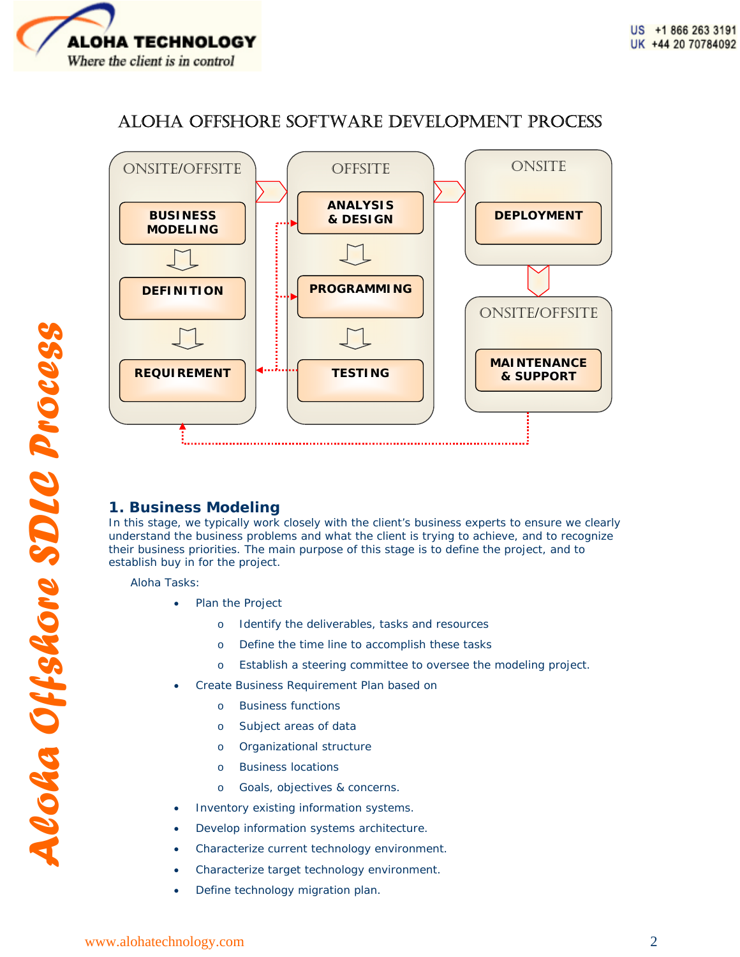

# ALOHA OFFSHORE SOFTWARE DEVELOPMENT PROCESS



# **1. Business Modeling**

In this stage, we typically work closely with the client's business experts to ensure we clearly understand the business problems and what the client is trying to achieve, and to recognize their business priorities. The main purpose of this stage is to define the project, and to establish buy in for the project.

Aloha Tasks:

- Plan the Project
	- o Identify the deliverables, tasks and resources
	- o Define the time line to accomplish these tasks
	- o Establish a steering committee to oversee the modeling project.
- Create Business Requirement Plan based on
	- o Business functions
	- o Subject areas of data
	- o Organizational structure
	- o Business locations
	- o Goals, objectives & concerns.
- Inventory existing information systems.
- Develop information systems architecture.
- Characterize current technology environment.
- Characterize target technology environment.
- Define technology migration plan.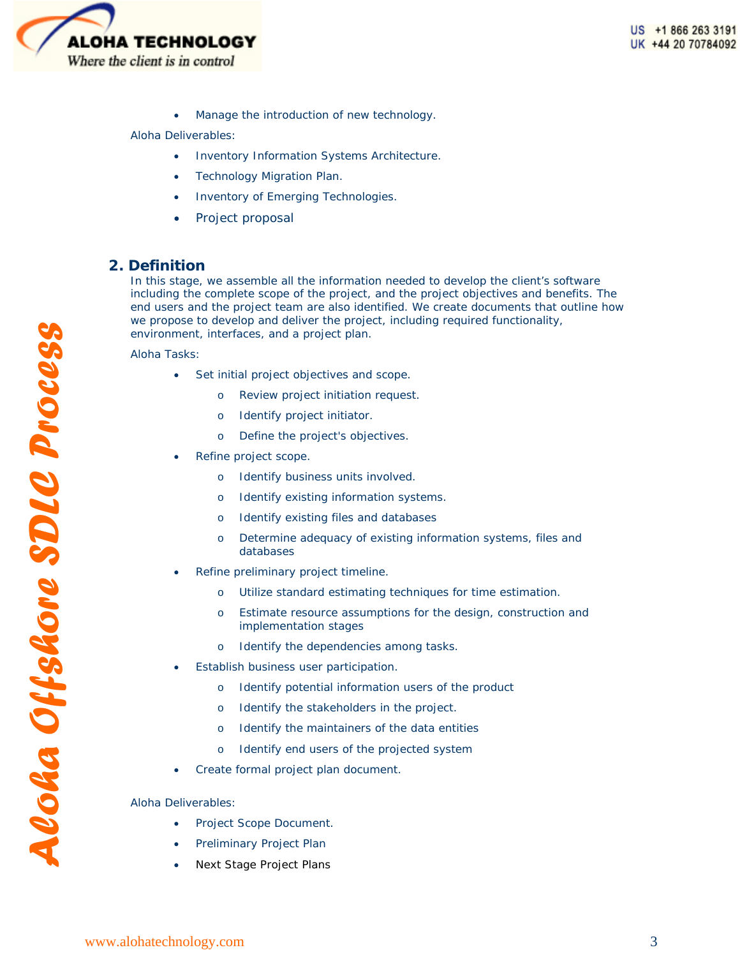

Manage the introduction of new technology.

#### Aloha Deliverables:

- Inventory Information Systems Architecture.
- Technology Migration Plan.
- Inventory of Emerging Technologies.
- Project proposal

# **2. Definition**

In this stage, we assemble all the information needed to develop the client's software including the complete scope of the project, and the project objectives and benefits. The end users and the project team are also identified. We create documents that outline how we propose to develop and deliver the project, including required functionality, environment, interfaces, and a project plan.

Aloha Tasks:

- Set initial project objectives and scope.
	- Review project initiation request.
	- o Identify project initiator.
	- o Define the project's objectives.
- Refine project scope.
	- o Identify business units involved.
	- o Identify existing information systems.
	- o Identify existing files and databases
	- o Determine adequacy of existing information systems, files and databases
- Refine preliminary project timeline.
	- o Utilize standard estimating techniques for time estimation.
	- o Estimate resource assumptions for the design, construction and implementation stages
	- o Identify the dependencies among tasks.
- Establish business user participation.
	- o Identify potential information users of the product
	- o Identify the stakeholders in the project.
	- o Identify the maintainers of the data entities
	- o Identify end users of the projected system
- Create formal project plan document.

- Project Scope Document.
- Preliminary Project Plan
- Next Stage Project Plans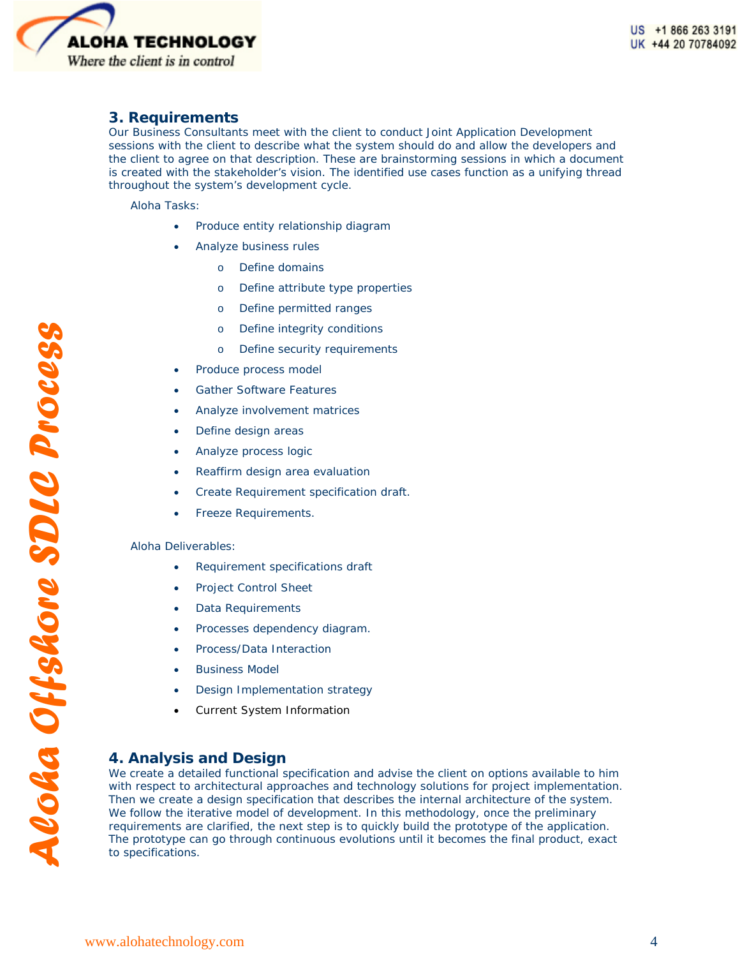

# **3. Requirements**

Our Business Consultants meet with the client to conduct Joint Application Development sessions with the client to describe what the system should do and allow the developers and the client to agree on that description. These are brainstorming sessions in which a document is created with the stakeholder's vision. The identified use cases function as a unifying thread throughout the system's development cycle.

Aloha Tasks:

- Produce entity relationship diagram
- Analyze business rules
	- o Define domains
	- o Define attribute type properties
	- o Define permitted ranges
	- o Define integrity conditions
	- o Define security requirements
- Produce process model
- Gather Software Features
- Analyze involvement matrices
- Define design areas
- Analyze process logic
- Reaffirm design area evaluation
- Create Requirement specification draft.
- Freeze Requirements.

#### Aloha Deliverables:

- Requirement specifications draft
- Project Control Sheet
- Data Requirements
- Processes dependency diagram.
- Process/Data Interaction
- **Business Model**
- Design Implementation strategy
- Current System Information

### **4. Analysis and Design**

We create a detailed functional specification and advise the client on options available to him with respect to architectural approaches and technology solutions for project implementation. Then we create a design specification that describes the internal architecture of the system. We follow the iterative model of development. In this methodology, once the preliminary requirements are clarified, the next step is to quickly build the prototype of the application. The prototype can go through continuous evolutions until it becomes the final product, exact to specifications.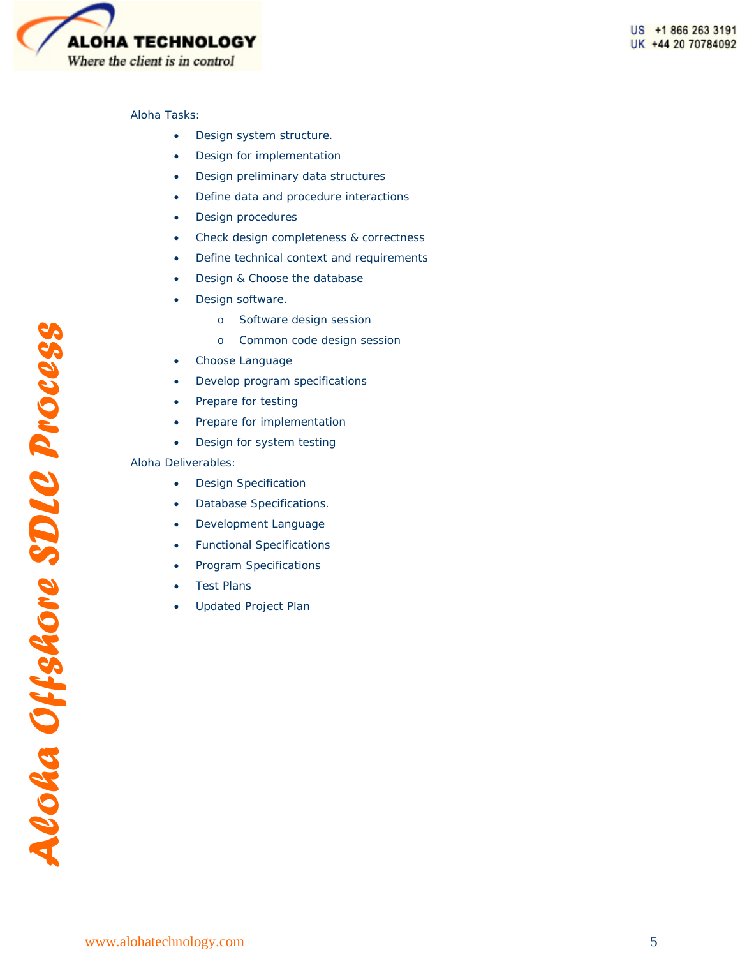

#### Aloha Tasks:

- Design system structure.
- Design for implementation
- Design preliminary data structures
- Define data and procedure interactions
- Design procedures
- Check design completeness & correctness
- Define technical context and requirements
- Design & Choose the database
- Design software.
	- o Software design session
	- o Common code design session
- Choose Language
- Develop program specifications
- Prepare for testing
- Prepare for implementation
- Design for system testing

- Design Specification
- Database Specifications.
- Development Language
- Functional Specifications
- Program Specifications
- **Test Plans**
- Updated Project Plan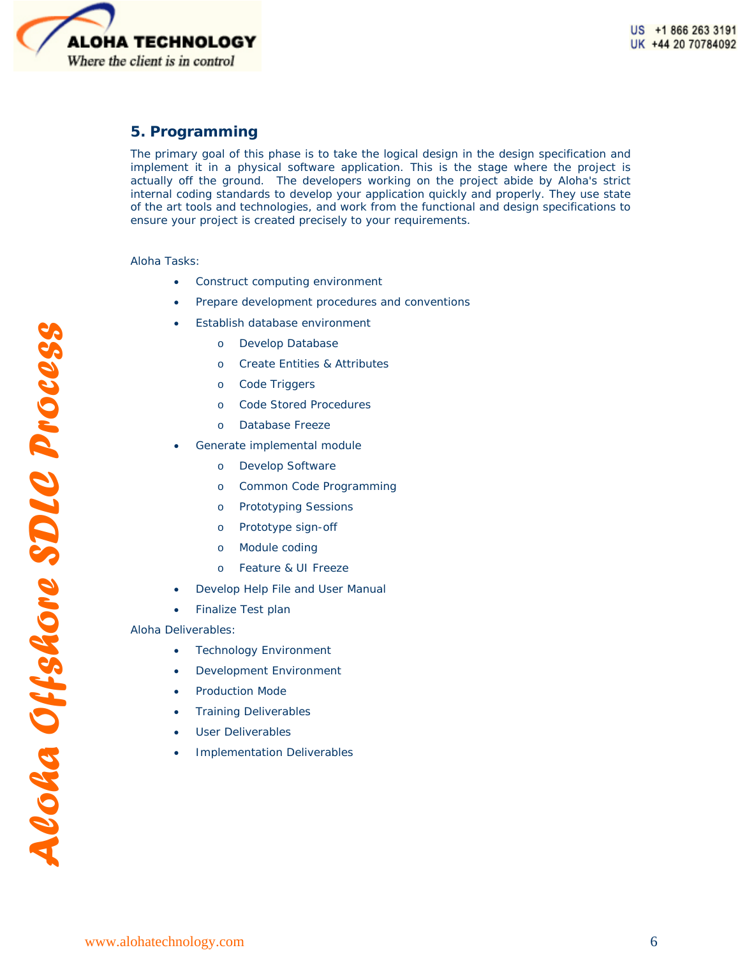

# **5. Programming**

The primary goal of this phase is to take the logical design in the design specification and implement it in a physical software application. This is the stage where the project is actually off the ground. The developers working on the project abide by Aloha's strict internal coding standards to develop your application quickly and properly. They use state of the art tools and technologies, and work from the functional and design specifications to ensure your project is created precisely to your requirements.

#### Aloha Tasks:

- Construct computing environment
- Prepare development procedures and conventions
- Establish database environment
	- o Develop Database
	- o Create Entities & Attributes
	- o Code Triggers
	- o Code Stored Procedures
	- o Database Freeze
- Generate implemental module
	- o Develop Software
	- o Common Code Programming
	- o Prototyping Sessions
	- o Prototype sign-off
	- o Module coding
	- o Feature & UI Freeze
- Develop Help File and User Manual
- Finalize Test plan

- **Technology Environment**
- Development Environment
- Production Mode
- Training Deliverables
- User Deliverables
- Implementation Deliverables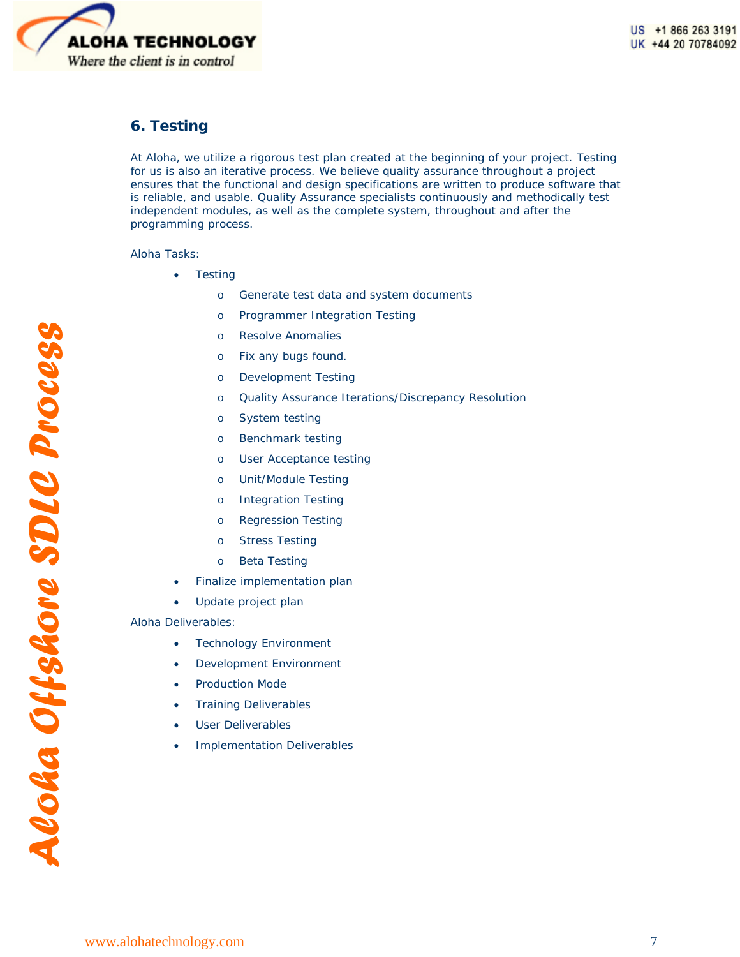

# **6. Testing**

At Aloha, we utilize a rigorous test plan created at the beginning of your project. Testing for us is also an iterative process. We believe quality assurance throughout a project ensures that the functional and design specifications are written to produce software that is reliable, and usable. Quality Assurance specialists continuously and methodically test independent modules, as well as the complete system, throughout and after the programming process.

Aloha Tasks:

- **Testing** 
	- o Generate test data and system documents
	- o Programmer Integration Testing
	- o Resolve Anomalies
	- o Fix any bugs found.
	- o Development Testing
	- o Quality Assurance Iterations/Discrepancy Resolution
	- o System testing
	- o Benchmark testing
	- o User Acceptance testing
	- o Unit/Module Testing
	- o Integration Testing
	- o Regression Testing
	- o Stress Testing
	- o Beta Testing
- Finalize implementation plan
- Update project plan

- **Technology Environment**
- Development Environment
- Production Mode
- Training Deliverables
- User Deliverables
- Implementation Deliverables